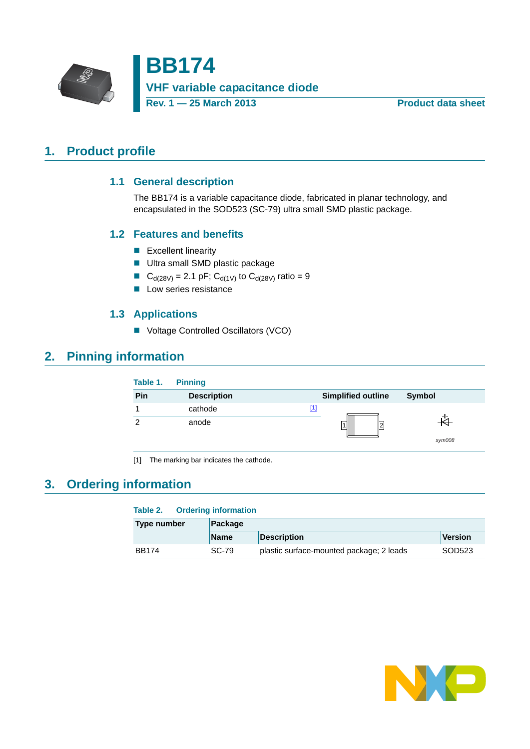

**BB174 VHF variable capacitance diode Rev. 1 — 25 March 2013 Product data sheet**

# <span id="page-0-2"></span><span id="page-0-1"></span>**1. Product profile**

## **1.1 General description**

The BB174 is a variable capacitance diode, fabricated in planar technology, and encapsulated in the SOD523 (SC-79) ultra small SMD plastic package.

## <span id="page-0-3"></span>**1.2 Features and benefits**

- **Excellent linearity**
- **Ultra small SMD plastic package**
- GeV C<sub>d(28V)</sub> = 2.1 pF; C<sub>d(1V)</sub> to C<sub>d(28V)</sub> ratio = 9
- **Low series resistance**

## **1.3 Applications**

■ Voltage Controlled Oscillators (VCO)

# <span id="page-0-5"></span><span id="page-0-4"></span>**2. Pinning information**

| Table 1. | <b>Pinning</b>     |                           |        |
|----------|--------------------|---------------------------|--------|
| Pin      | <b>Description</b> | <b>Simplified outline</b> | Symbol |
|          | cathode            | $[1]$                     |        |
| າ        | anode              |                           | sym008 |

<span id="page-0-0"></span>[1] The marking bar indicates the cathode.

# <span id="page-0-6"></span>**3. Ordering information**

## **Table 2. Ordering information**

| Type number  | Package     |                                          |                |  |  |
|--------------|-------------|------------------------------------------|----------------|--|--|
|              | <b>Name</b> | <b>Description</b>                       | <b>Version</b> |  |  |
| <b>BB174</b> | SC-79       | plastic surface-mounted package; 2 leads | SOD523         |  |  |

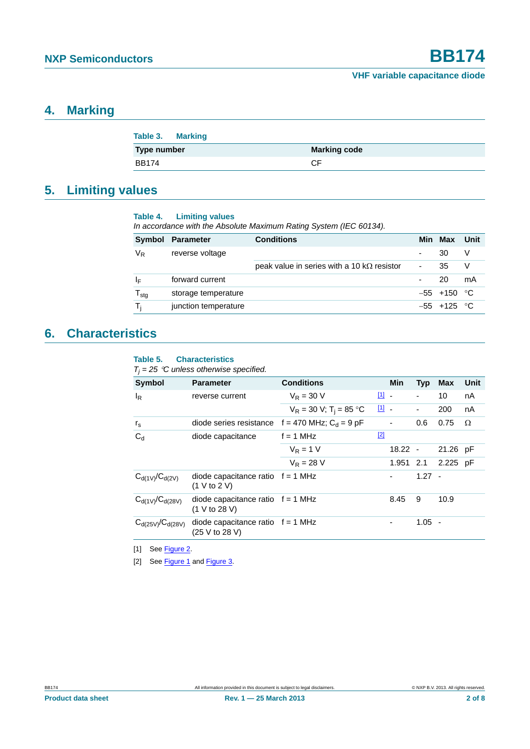## <span id="page-1-2"></span>**4. Marking**

| Table 3. Marking |                     |
|------------------|---------------------|
| Type number      | <b>Marking code</b> |
| <b>BB174</b>     | СF                  |

# <span id="page-1-3"></span>**5. Limiting values**

#### **Table 4. Limiting values**

*In accordance with the Absolute Maximum Rating System (IEC 60134).*

| Symbol           | Parameter            | <b>Conditions</b>                                  |   | Min Max        | Unit |
|------------------|----------------------|----------------------------------------------------|---|----------------|------|
| VR               | reverse voltage      |                                                    |   | 30             |      |
|                  |                      | peak value in series with a 10 k $\Omega$ resistor | - | 35             |      |
| ΙF               | forward current      |                                                    |   | 20             | mA   |
| $T_{\text{stg}}$ | storage temperature  |                                                    |   | $-55$ +150 °C  |      |
| т.               | junction temperature |                                                    |   | $-55 + 125$ °C |      |

## <span id="page-1-4"></span>**6. Characteristics**

#### **Table 5. Characteristics**

 $T_j = 25$  °C unless otherwise specified.

| Symbol                  | <b>Parameter</b>                                      | <b>Conditions</b>                     |                                   | <b>Min</b>               | <b>Typ</b>               | Max      | Unit |
|-------------------------|-------------------------------------------------------|---------------------------------------|-----------------------------------|--------------------------|--------------------------|----------|------|
| $I_R$                   | reverse current                                       | $V_{\rm R} = 30$ V                    | $11 -$                            |                          | $\overline{\phantom{0}}$ | 10       | nA   |
|                         |                                                       | $V_R = 30 V$ ; T <sub>i</sub> = 85 °C | $\begin{bmatrix} 1 \end{bmatrix}$ |                          | $\overline{\phantom{0}}$ | 200      | nA   |
| $r_{\rm s}$             | diode series resistance $f = 470$ MHz; $C_d = 9$ pF   |                                       |                                   | $\overline{\phantom{a}}$ | 0.6                      | 0.75     | Ω    |
| $C_d$                   | diode capacitance                                     | $f = 1$ MHz                           | $[2]$                             |                          |                          |          |      |
|                         |                                                       | $V_R = 1 V$                           |                                   | $18.22 -$                |                          | 21.26 pF |      |
|                         |                                                       | $V_{\rm R} = 28$ V                    |                                   | 1.951 2.1                |                          | 2.225 pF |      |
| $C_{d(1V)}/C_{d(2V)}$   | diode capacitance ratio $f = 1$ MHz<br>(1 V to 2 V)   |                                       |                                   | $\overline{\phantom{a}}$ | $1.27 -$                 |          |      |
| $C_{d(1V)}/C_{d(28V)}$  | diode capacitance ratio $f = 1$ MHz<br>(1 V to 28 V)  |                                       |                                   | 8.45                     | 9                        | 10.9     |      |
| $C_{d(25V)}/C_{d(28V)}$ | diode capacitance ratio $f = 1$ MHz<br>(25 V to 28 V) |                                       |                                   | $\overline{a}$           | $1.05 -$                 |          |      |
|                         |                                                       |                                       |                                   |                          |                          |          |      |

<span id="page-1-0"></span>[1] See [Figure 2.](#page-2-0)

<span id="page-1-1"></span>[2] See [Figure 1](#page-2-1) and [Figure 3](#page-2-2).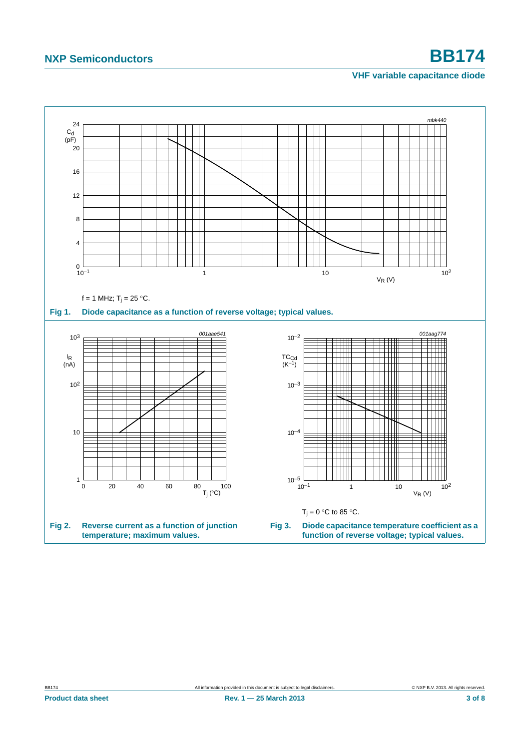# **NXP Semiconductors BB174**

### <span id="page-2-2"></span>**VHF variable capacitance diode**

<span id="page-2-1"></span><span id="page-2-0"></span>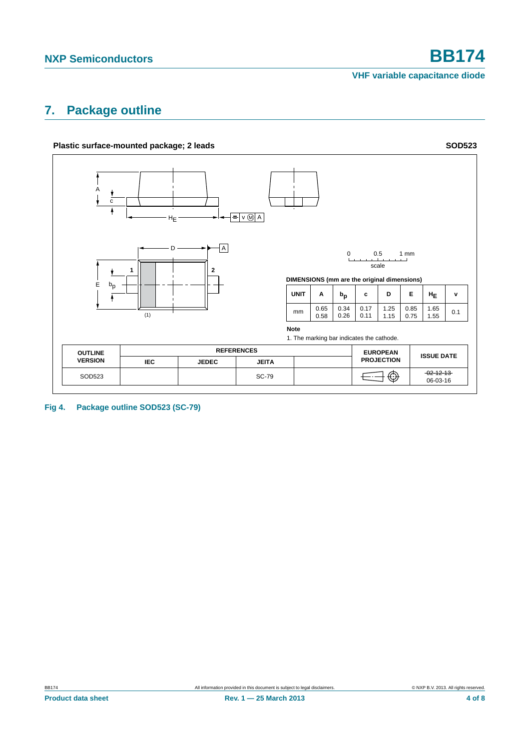**VHF variable capacitance diode**

# <span id="page-3-0"></span>**7. Package outline**



**Fig 4. Package outline SOD523 (SC-79)**

**Product data sheet** 4 of 8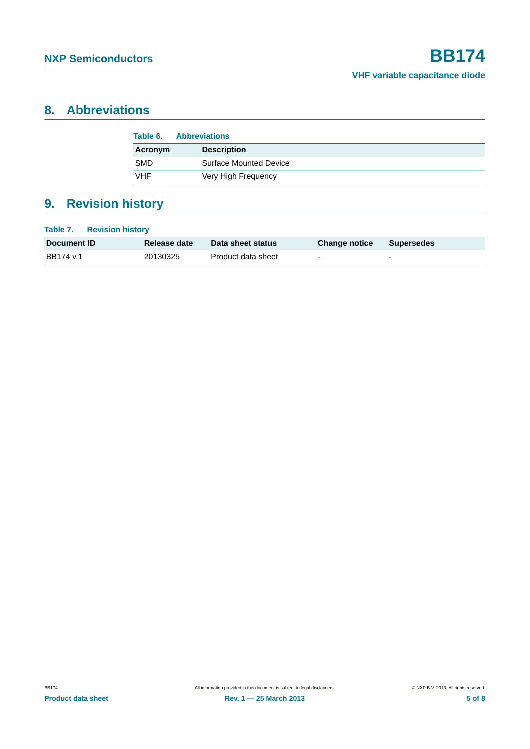# <span id="page-4-0"></span>**8. Abbreviations**

| Table 6.   | <b>Abbreviations</b>          |
|------------|-------------------------------|
| Acronym    | <b>Description</b>            |
| <b>SMD</b> | <b>Surface Mounted Device</b> |
| VHF        | Very High Frequency           |

# <span id="page-4-1"></span>**9. Revision history**

| Table 7.<br><b>Revision history</b> |              |                    |                      |                          |
|-------------------------------------|--------------|--------------------|----------------------|--------------------------|
| Document ID                         | Release date | Data sheet status  | <b>Change notice</b> | <b>Supersedes</b>        |
| BB174 v.1                           | 20130325     | Product data sheet | $\overline{a}$       | $\overline{\phantom{a}}$ |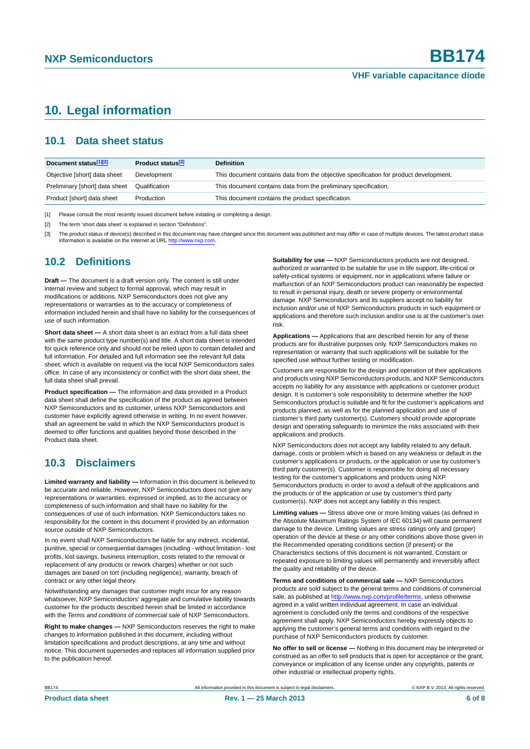# <span id="page-5-0"></span>**10. Legal information**

## <span id="page-5-1"></span>**10.1 Data sheet status**

| Document status[1][2]          | Product status <sup>[3]</sup> | <b>Definition</b>                                                                     |
|--------------------------------|-------------------------------|---------------------------------------------------------------------------------------|
| Objective [short] data sheet   | Development                   | This document contains data from the objective specification for product development. |
| Preliminary [short] data sheet | Qualification                 | This document contains data from the preliminary specification.                       |
| Product [short] data sheet     | Production                    | This document contains the product specification.                                     |

[1] Please consult the most recently issued document before initiating or completing a design.

[2] The term 'short data sheet' is explained in section "Definitions".

[3] The product status of device(s) described in this document may have changed since this document was published and may differ in case of multiple devices. The latest product status<br>information is available on the Intern

## <span id="page-5-2"></span>**10.2 Definitions**

**Draft —** The document is a draft version only. The content is still under internal review and subject to formal approval, which may result in modifications or additions. NXP Semiconductors does not give any representations or warranties as to the accuracy or completeness of information included herein and shall have no liability for the consequences of use of such information.

**Short data sheet —** A short data sheet is an extract from a full data sheet with the same product type number(s) and title. A short data sheet is intended for quick reference only and should not be relied upon to contain detailed and full information. For detailed and full information see the relevant full data sheet, which is available on request via the local NXP Semiconductors sales office. In case of any inconsistency or conflict with the short data sheet, the full data sheet shall prevail.

**Product specification —** The information and data provided in a Product data sheet shall define the specification of the product as agreed between NXP Semiconductors and its customer, unless NXP Semiconductors and customer have explicitly agreed otherwise in writing. In no event however, shall an agreement be valid in which the NXP Semiconductors product is deemed to offer functions and qualities beyond those described in the Product data sheet.

## <span id="page-5-3"></span>**10.3 Disclaimers**

**Limited warranty and liability —** Information in this document is believed to be accurate and reliable. However, NXP Semiconductors does not give any representations or warranties, expressed or implied, as to the accuracy or completeness of such information and shall have no liability for the consequences of use of such information. NXP Semiconductors takes no responsibility for the content in this document if provided by an information source outside of NXP Semiconductors.

In no event shall NXP Semiconductors be liable for any indirect, incidental, punitive, special or consequential damages (including - without limitation - lost profits, lost savings, business interruption, costs related to the removal or replacement of any products or rework charges) whether or not such damages are based on tort (including negligence), warranty, breach of contract or any other legal theory.

Notwithstanding any damages that customer might incur for any reason whatsoever, NXP Semiconductors' aggregate and cumulative liability towards customer for the products described herein shall be limited in accordance with the *Terms and conditions of commercial sale* of NXP Semiconductors.

**Right to make changes —** NXP Semiconductors reserves the right to make changes to information published in this document, including without limitation specifications and product descriptions, at any time and without notice. This document supersedes and replaces all information supplied prior to the publication hereof.

**Suitability for use —** NXP Semiconductors products are not designed, authorized or warranted to be suitable for use in life support, life-critical or safety-critical systems or equipment, nor in applications where failure or malfunction of an NXP Semiconductors product can reasonably be expected to result in personal injury, death or severe property or environmental damage. NXP Semiconductors and its suppliers accept no liability for inclusion and/or use of NXP Semiconductors products in such equipment or applications and therefore such inclusion and/or use is at the customer's own risk.

**Applications —** Applications that are described herein for any of these products are for illustrative purposes only. NXP Semiconductors makes no representation or warranty that such applications will be suitable for the specified use without further testing or modification.

Customers are responsible for the design and operation of their applications and products using NXP Semiconductors products, and NXP Semiconductors accepts no liability for any assistance with applications or customer product design. It is customer's sole responsibility to determine whether the NXP Semiconductors product is suitable and fit for the customer's applications and products planned, as well as for the planned application and use of customer's third party customer(s). Customers should provide appropriate design and operating safeguards to minimize the risks associated with their applications and products.

NXP Semiconductors does not accept any liability related to any default. damage, costs or problem which is based on any weakness or default in the customer's applications or products, or the application or use by customer's third party customer(s). Customer is responsible for doing all necessary testing for the customer's applications and products using NXP Semiconductors products in order to avoid a default of the applications and the products or of the application or use by customer's third party customer(s). NXP does not accept any liability in this respect.

**Limiting values —** Stress above one or more limiting values (as defined in the Absolute Maximum Ratings System of IEC 60134) will cause permanent damage to the device. Limiting values are stress ratings only and (proper) operation of the device at these or any other conditions above those given in the Recommended operating conditions section (if present) or the Characteristics sections of this document is not warranted. Constant or repeated exposure to limiting values will permanently and irreversibly affect the quality and reliability of the device.

**Terms and conditions of commercial sale —** NXP Semiconductors products are sold subject to the general terms and conditions of commercial sale, as published at<http://www.nxp.com/profile/terms>, unless otherwise agreed in a valid written individual agreement. In case an individual agreement is concluded only the terms and conditions of the respective agreement shall apply. NXP Semiconductors hereby expressly objects to applying the customer's general terms and conditions with regard to the purchase of NXP Semiconductors products by customer.

**No offer to sell or license —** Nothing in this document may be interpreted or construed as an offer to sell products that is open for acceptance or the grant, conveyance or implication of any license under any copyrights, patents or other industrial or intellectual property rights.

BB174 All information provided in this document is subject to legal disclaimers. © NXP B.V. 2013. All rights reserved.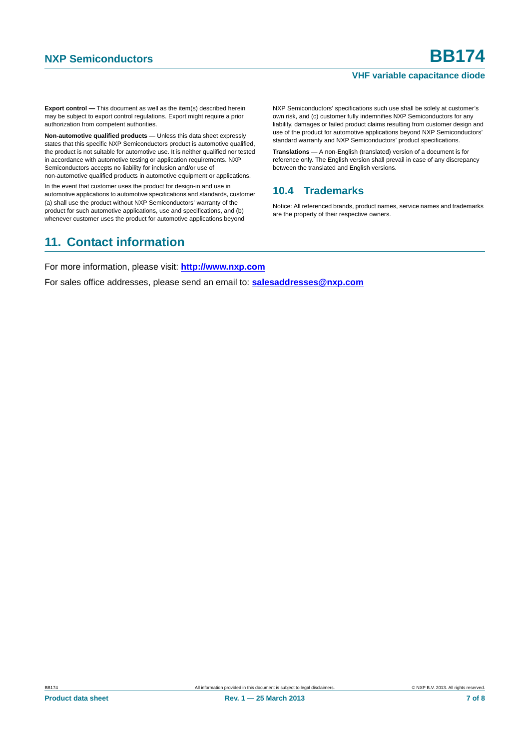#### **VHF variable capacitance diode**

**Export control —** This document as well as the item(s) described herein may be subject to export control regulations. Export might require a prior authorization from competent authorities.

**Non-automotive qualified products —** Unless this data sheet expressly states that this specific NXP Semiconductors product is automotive qualified, the product is not suitable for automotive use. It is neither qualified nor tested in accordance with automotive testing or application requirements. NXP Semiconductors accepts no liability for inclusion and/or use of non-automotive qualified products in automotive equipment or applications.

In the event that customer uses the product for design-in and use in automotive applications to automotive specifications and standards, customer (a) shall use the product without NXP Semiconductors' warranty of the product for such automotive applications, use and specifications, and (b) whenever customer uses the product for automotive applications beyond

NXP Semiconductors' specifications such use shall be solely at customer's own risk, and (c) customer fully indemnifies NXP Semiconductors for any liability, damages or failed product claims resulting from customer design and use of the product for automotive applications beyond NXP Semiconductors' standard warranty and NXP Semiconductors' product specifications.

**Translations —** A non-English (translated) version of a document is for reference only. The English version shall prevail in case of any discrepancy between the translated and English versions.

## <span id="page-6-0"></span>**10.4 Trademarks**

Notice: All referenced brands, product names, service names and trademarks are the property of their respective owners.

# <span id="page-6-1"></span>**11. Contact information**

For more information, please visit: **http://www.nxp.com**

For sales office addresses, please send an email to: **salesaddresses@nxp.com**